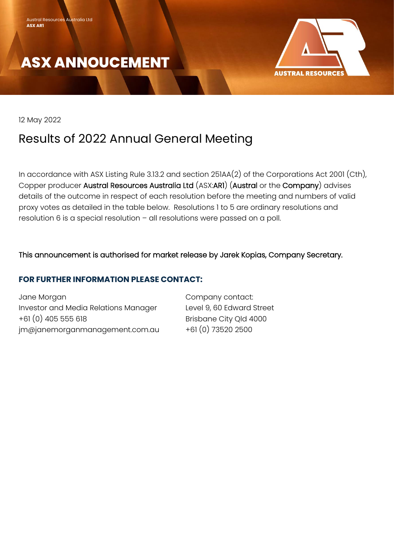



12 May 2022

# Results of 2022 Annual General Meeting

In accordance with ASX Listing Rule 3.13.2 and section 251AA(2) of the Corporations Act 2001 (Cth), Copper producer Austral Resources Australia Ltd (ASX:AR1) (Austral or the Company) advises details of the outcome in respect of each resolution before the meeting and numbers of valid proxy votes as detailed in the table below. Resolutions 1 to 5 are ordinary resolutions and resolution 6 is a special resolution – all resolutions were passed on a poll.

### This announcement is authorised for market release by Jarek Kopias, Company Secretary.

### **FOR FURTHER INFORMATION PLEASE CONTACT:**

Jane Morgan Company contact: Investor and Media Relations Manager Level 9, 60 Edward Street +61 (0) 405 555 618 Brisbane City Qld 4000  $jm\omega$ janemorganmanagement.com.au  $+61(0)$  73520 2500